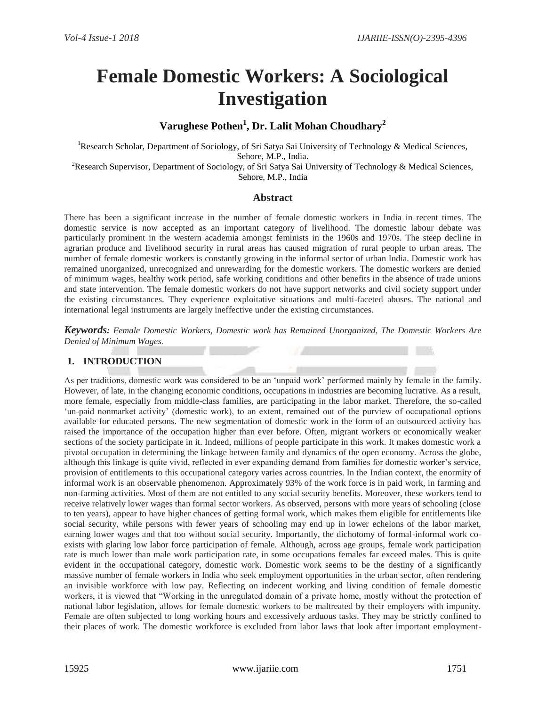# **Female Domestic Workers: A Sociological Investigation**

# **Varughese Pothen<sup>1</sup> , Dr. Lalit Mohan Choudhary<sup>2</sup>**

<sup>1</sup>Research Scholar, Department of Sociology, of Sri Satya Sai University of Technology & Medical Sciences, Sehore, M.P., India. <sup>2</sup>Research Supervisor, Department of Sociology, of Sri Satya Sai University of Technology & Medical Sciences, Sehore, M.P., India

#### **Abstract**

There has been a significant increase in the number of female domestic workers in India in recent times. The domestic service is now accepted as an important category of livelihood. The domestic labour debate was particularly prominent in the western academia amongst feminists in the 1960s and 1970s. The steep decline in agrarian produce and livelihood security in rural areas has caused migration of rural people to urban areas. The number of female domestic workers is constantly growing in the informal sector of urban India. Domestic work has remained unorganized, unrecognized and unrewarding for the domestic workers. The domestic workers are denied of minimum wages, healthy work period, safe working conditions and other benefits in the absence of trade unions and state intervention. The female domestic workers do not have support networks and civil society support under the existing circumstances. They experience exploitative situations and multi-faceted abuses. The national and international legal instruments are largely ineffective under the existing circumstances.

*Keywords: Female Domestic Workers, Domestic work has Remained Unorganized, The Domestic Workers Are Denied of Minimum Wages.*

# **1. INTRODUCTION**

As per traditions, domestic work was considered to be an 'unpaid work' performed mainly by female in the family. However, of late, in the changing economic conditions, occupations in industries are becoming lucrative. As a result, more female, especially from middle-class families, are participating in the labor market. Therefore, the so-called 'un-paid nonmarket activity' (domestic work), to an extent, remained out of the purview of occupational options available for educated persons. The new segmentation of domestic work in the form of an outsourced activity has raised the importance of the occupation higher than ever before. Often, migrant workers or economically weaker sections of the society participate in it. Indeed, millions of people participate in this work. It makes domestic work a pivotal occupation in determining the linkage between family and dynamics of the open economy. Across the globe, although this linkage is quite vivid, reflected in ever expanding demand from families for domestic worker's service, provision of entitlements to this occupational category varies across countries. In the Indian context, the enormity of informal work is an observable phenomenon. Approximately 93% of the work force is in paid work, in farming and non-farming activities. Most of them are not entitled to any social security benefits. Moreover, these workers tend to receive relatively lower wages than formal sector workers. As observed, persons with more years of schooling (close to ten years), appear to have higher chances of getting formal work, which makes them eligible for entitlements like social security, while persons with fewer years of schooling may end up in lower echelons of the labor market, earning lower wages and that too without social security. Importantly, the dichotomy of formal-informal work coexists with glaring low labor force participation of female. Although, across age groups, female work participation rate is much lower than male work participation rate, in some occupations females far exceed males. This is quite evident in the occupational category, domestic work. Domestic work seems to be the destiny of a significantly massive number of female workers in India who seek employment opportunities in the urban sector, often rendering an invisible workforce with low pay. Reflecting on indecent working and living condition of female domestic workers, it is viewed that "Working in the unregulated domain of a private home, mostly without the protection of national labor legislation, allows for female domestic workers to be maltreated by their employers with impunity. Female are often subjected to long working hours and excessively arduous tasks. They may be strictly confined to their places of work. The domestic workforce is excluded from labor laws that look after important employment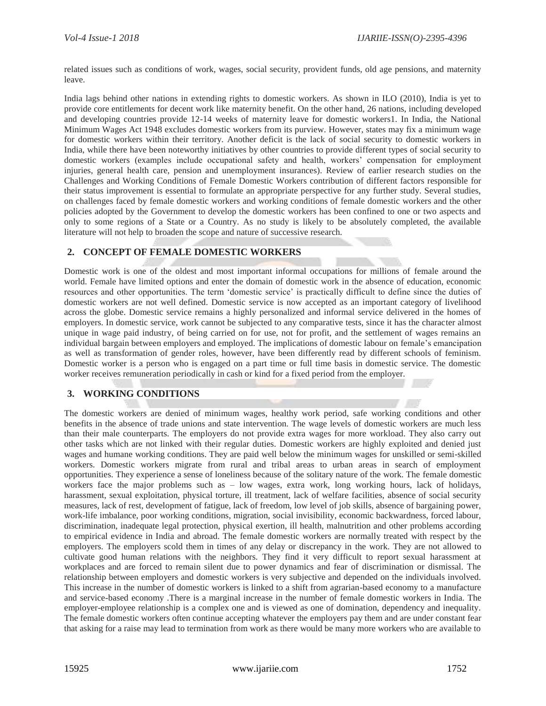related issues such as conditions of work, wages, social security, provident funds, old age pensions, and maternity leave.

India lags behind other nations in extending rights to domestic workers. As shown in ILO (2010), India is yet to provide core entitlements for decent work like maternity benefit. On the other hand, 26 nations, including developed and developing countries provide 12-14 weeks of maternity leave for domestic workers1. In India, the National Minimum Wages Act 1948 excludes domestic workers from its purview. However, states may fix a minimum wage for domestic workers within their territory. Another deficit is the lack of social security to domestic workers in India, while there have been noteworthy initiatives by other countries to provide different types of social security to domestic workers (examples include occupational safety and health, workers' compensation for employment injuries, general health care, pension and unemployment insurances). Review of earlier research studies on the Challenges and Working Conditions of Female Domestic Workers contribution of different factors responsible for their status improvement is essential to formulate an appropriate perspective for any further study. Several studies, on challenges faced by female domestic workers and working conditions of female domestic workers and the other policies adopted by the Government to develop the domestic workers has been confined to one or two aspects and only to some regions of a State or a Country. As no study is likely to be absolutely completed, the available literature will not help to broaden the scope and nature of successive research.

#### **2. CONCEPT OF FEMALE DOMESTIC WORKERS**

Domestic work is one of the oldest and most important informal occupations for millions of female around the world. Female have limited options and enter the domain of domestic work in the absence of education, economic resources and other opportunities. The term 'domestic service' is practically difficult to define since the duties of domestic workers are not well defined. Domestic service is now accepted as an important category of livelihood across the globe. Domestic service remains a highly personalized and informal service delivered in the homes of employers. In domestic service, work cannot be subjected to any comparative tests, since it has the character almost unique in wage paid industry, of being carried on for use, not for profit, and the settlement of wages remains an individual bargain between employers and employed. The implications of domestic labour on female's emancipation as well as transformation of gender roles, however, have been differently read by different schools of feminism. Domestic worker is a person who is engaged on a part time or full time basis in domestic service. The domestic worker receives remuneration periodically in cash or kind for a fixed period from the employer.

#### **3. WORKING CONDITIONS**

The domestic workers are denied of minimum wages, healthy work period, safe working conditions and other benefits in the absence of trade unions and state intervention. The wage levels of domestic workers are much less than their male counterparts. The employers do not provide extra wages for more workload. They also carry out other tasks which are not linked with their regular duties. Domestic workers are highly exploited and denied just wages and humane working conditions. They are paid well below the minimum wages for unskilled or semi-skilled workers. Domestic workers migrate from rural and tribal areas to urban areas in search of employment opportunities. They experience a sense of loneliness because of the solitary nature of the work. The female domestic workers face the major problems such as – low wages, extra work, long working hours, lack of holidays, harassment, sexual exploitation, physical torture, ill treatment, lack of welfare facilities, absence of social security measures, lack of rest, development of fatigue, lack of freedom, low level of job skills, absence of bargaining power, work-life imbalance, poor working conditions, migration, social invisibility, economic backwardness, forced labour, discrimination, inadequate legal protection, physical exertion, ill health, malnutrition and other problems according to empirical evidence in India and abroad. The female domestic workers are normally treated with respect by the employers. The employers scold them in times of any delay or discrepancy in the work. They are not allowed to cultivate good human relations with the neighbors. They find it very difficult to report sexual harassment at workplaces and are forced to remain silent due to power dynamics and fear of discrimination or dismissal. The relationship between employers and domestic workers is very subjective and depended on the individuals involved. This increase in the number of domestic workers is linked to a shift from agrarian-based economy to a manufacture and service-based economy .There is a marginal increase in the number of female domestic workers in India. The employer-employee relationship is a complex one and is viewed as one of domination, dependency and inequality. The female domestic workers often continue accepting whatever the employers pay them and are under constant fear that asking for a raise may lead to termination from work as there would be many more workers who are available to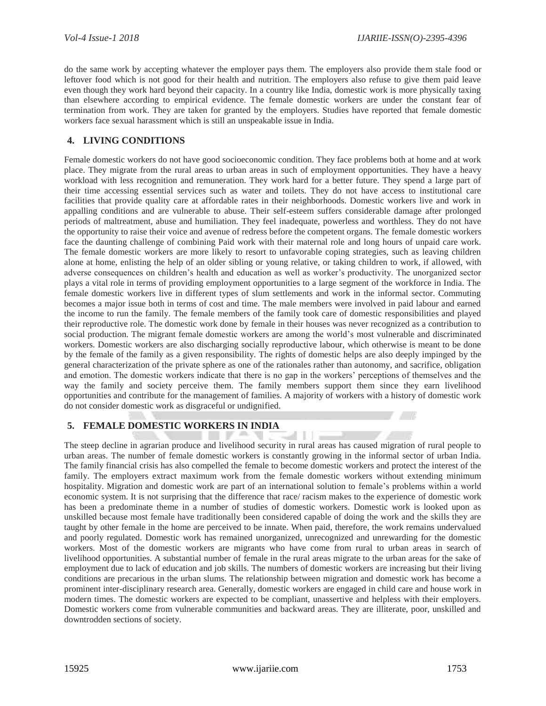do the same work by accepting whatever the employer pays them. The employers also provide them stale food or leftover food which is not good for their health and nutrition. The employers also refuse to give them paid leave even though they work hard beyond their capacity. In a country like India, domestic work is more physically taxing than elsewhere according to empirical evidence. The female domestic workers are under the constant fear of termination from work. They are taken for granted by the employers. Studies have reported that female domestic workers face sexual harassment which is still an unspeakable issue in India.

#### **4. LIVING CONDITIONS**

Female domestic workers do not have good socioeconomic condition. They face problems both at home and at work place. They migrate from the rural areas to urban areas in such of employment opportunities. They have a heavy workload with less recognition and remuneration. They work hard for a better future. They spend a large part of their time accessing essential services such as water and toilets. They do not have access to institutional care facilities that provide quality care at affordable rates in their neighborhoods. Domestic workers live and work in appalling conditions and are vulnerable to abuse. Their self-esteem suffers considerable damage after prolonged periods of maltreatment, abuse and humiliation. They feel inadequate, powerless and worthless. They do not have the opportunity to raise their voice and avenue of redress before the competent organs. The female domestic workers face the daunting challenge of combining Paid work with their maternal role and long hours of unpaid care work. The female domestic workers are more likely to resort to unfavorable coping strategies, such as leaving children alone at home, enlisting the help of an older sibling or young relative, or taking children to work, if allowed, with adverse consequences on children's health and education as well as worker's productivity. The unorganized sector plays a vital role in terms of providing employment opportunities to a large segment of the workforce in India. The female domestic workers live in different types of slum settlements and work in the informal sector. Commuting becomes a major issue both in terms of cost and time. The male members were involved in paid labour and earned the income to run the family. The female members of the family took care of domestic responsibilities and played their reproductive role. The domestic work done by female in their houses was never recognized as a contribution to social production. The migrant female domestic workers are among the world's most vulnerable and discriminated workers. Domestic workers are also discharging socially reproductive labour, which otherwise is meant to be done by the female of the family as a given responsibility. The rights of domestic helps are also deeply impinged by the general characterization of the private sphere as one of the rationales rather than autonomy, and sacrifice, obligation and emotion. The domestic workers indicate that there is no gap in the workers' perceptions of themselves and the way the family and society perceive them. The family members support them since they earn livelihood opportunities and contribute for the management of families. A majority of workers with a history of domestic work do not consider domestic work as disgraceful or undignified.

#### **5. FEMALE DOMESTIC WORKERS IN INDIA**

The steep decline in agrarian produce and livelihood security in rural areas has caused migration of rural people to urban areas. The number of female domestic workers is constantly growing in the informal sector of urban India. The family financial crisis has also compelled the female to become domestic workers and protect the interest of the family. The employers extract maximum work from the female domestic workers without extending minimum hospitality. Migration and domestic work are part of an international solution to female's problems within a world economic system. It is not surprising that the difference that race/ racism makes to the experience of domestic work has been a predominate theme in a number of studies of domestic workers. Domestic work is looked upon as unskilled because most female have traditionally been considered capable of doing the work and the skills they are taught by other female in the home are perceived to be innate. When paid, therefore, the work remains undervalued and poorly regulated. Domestic work has remained unorganized, unrecognized and unrewarding for the domestic workers. Most of the domestic workers are migrants who have come from rural to urban areas in search of livelihood opportunities. A substantial number of female in the rural areas migrate to the urban areas for the sake of employment due to lack of education and job skills. The numbers of domestic workers are increasing but their living conditions are precarious in the urban slums. The relationship between migration and domestic work has become a prominent inter-disciplinary research area. Generally, domestic workers are engaged in child care and house work in modern times. The domestic workers are expected to be compliant, unassertive and helpless with their employers. Domestic workers come from vulnerable communities and backward areas. They are illiterate, poor, unskilled and downtrodden sections of society.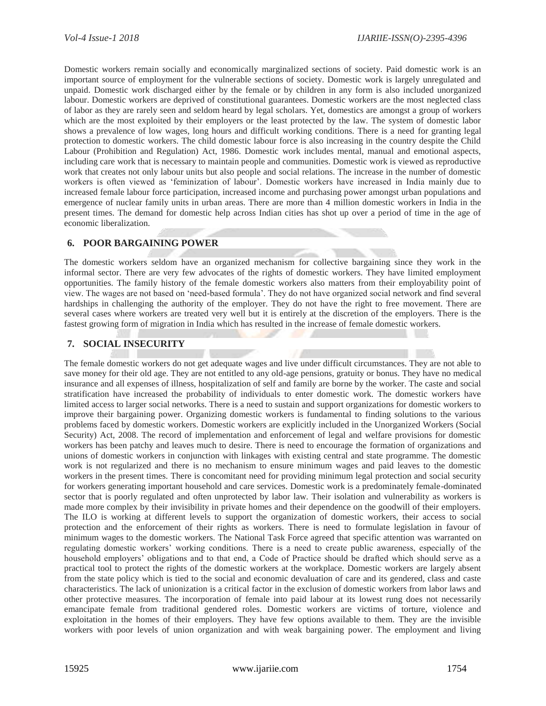Domestic workers remain socially and economically marginalized sections of society. Paid domestic work is an important source of employment for the vulnerable sections of society. Domestic work is largely unregulated and unpaid. Domestic work discharged either by the female or by children in any form is also included unorganized labour. Domestic workers are deprived of constitutional guarantees. Domestic workers are the most neglected class of labor as they are rarely seen and seldom heard by legal scholars. Yet, domestics are amongst a group of workers which are the most exploited by their employers or the least protected by the law. The system of domestic labor shows a prevalence of low wages, long hours and difficult working conditions. There is a need for granting legal protection to domestic workers. The child domestic labour force is also increasing in the country despite the Child Labour (Prohibition and Regulation) Act, 1986. Domestic work includes mental, manual and emotional aspects, including care work that is necessary to maintain people and communities. Domestic work is viewed as reproductive work that creates not only labour units but also people and social relations. The increase in the number of domestic workers is often viewed as 'feminization of labour'. Domestic workers have increased in India mainly due to increased female labour force participation, increased income and purchasing power amongst urban populations and emergence of nuclear family units in urban areas. There are more than 4 million domestic workers in India in the present times. The demand for domestic help across Indian cities has shot up over a period of time in the age of economic liberalization.

# **6. POOR BARGAINING POWER**

The domestic workers seldom have an organized mechanism for collective bargaining since they work in the informal sector. There are very few advocates of the rights of domestic workers. They have limited employment opportunities. The family history of the female domestic workers also matters from their employability point of view. The wages are not based on 'need-based formula'. They do not have organized social network and find several hardships in challenging the authority of the employer. They do not have the right to free movement. There are several cases where workers are treated very well but it is entirely at the discretion of the employers. There is the fastest growing form of migration in India which has resulted in the increase of female domestic workers.

#### **7. SOCIAL INSECURITY**

The female domestic workers do not get adequate wages and live under difficult circumstances. They are not able to save money for their old age. They are not entitled to any old-age pensions, gratuity or bonus. They have no medical insurance and all expenses of illness, hospitalization of self and family are borne by the worker. The caste and social stratification have increased the probability of individuals to enter domestic work. The domestic workers have limited access to larger social networks. There is a need to sustain and support organizations for domestic workers to improve their bargaining power. Organizing domestic workers is fundamental to finding solutions to the various problems faced by domestic workers. Domestic workers are explicitly included in the Unorganized Workers (Social Security) Act, 2008. The record of implementation and enforcement of legal and welfare provisions for domestic workers has been patchy and leaves much to desire. There is need to encourage the formation of organizations and unions of domestic workers in conjunction with linkages with existing central and state programme. The domestic work is not regularized and there is no mechanism to ensure minimum wages and paid leaves to the domestic workers in the present times. There is concomitant need for providing minimum legal protection and social security for workers generating important household and care services. Domestic work is a predominately female-dominated sector that is poorly regulated and often unprotected by labor law. Their isolation and vulnerability as workers is made more complex by their invisibility in private homes and their dependence on the goodwill of their employers. The ILO is working at different levels to support the organization of domestic workers, their access to social protection and the enforcement of their rights as workers. There is need to formulate legislation in favour of minimum wages to the domestic workers. The National Task Force agreed that specific attention was warranted on regulating domestic workers' working conditions. There is a need to create public awareness, especially of the household employers' obligations and to that end, a Code of Practice should be drafted which should serve as a practical tool to protect the rights of the domestic workers at the workplace. Domestic workers are largely absent from the state policy which is tied to the social and economic devaluation of care and its gendered, class and caste characteristics. The lack of unionization is a critical factor in the exclusion of domestic workers from labor laws and other protective measures. The incorporation of female into paid labour at its lowest rung does not necessarily emancipate female from traditional gendered roles. Domestic workers are victims of torture, violence and exploitation in the homes of their employers. They have few options available to them. They are the invisible workers with poor levels of union organization and with weak bargaining power. The employment and living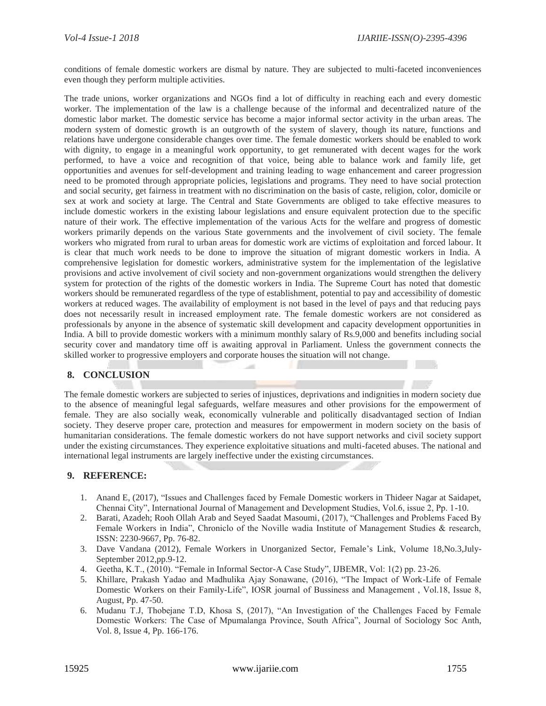conditions of female domestic workers are dismal by nature. They are subjected to multi-faceted inconveniences even though they perform multiple activities.

The trade unions, worker organizations and NGOs find a lot of difficulty in reaching each and every domestic worker. The implementation of the law is a challenge because of the informal and decentralized nature of the domestic labor market. The domestic service has become a major informal sector activity in the urban areas. The modern system of domestic growth is an outgrowth of the system of slavery, though its nature, functions and relations have undergone considerable changes over time. The female domestic workers should be enabled to work with dignity, to engage in a meaningful work opportunity, to get remunerated with decent wages for the work performed, to have a voice and recognition of that voice, being able to balance work and family life, get opportunities and avenues for self-development and training leading to wage enhancement and career progression need to be promoted through appropriate policies, legislations and programs. They need to have social protection and social security, get fairness in treatment with no discrimination on the basis of caste, religion, color, domicile or sex at work and society at large. The Central and State Governments are obliged to take effective measures to include domestic workers in the existing labour legislations and ensure equivalent protection due to the specific nature of their work. The effective implementation of the various Acts for the welfare and progress of domestic workers primarily depends on the various State governments and the involvement of civil society. The female workers who migrated from rural to urban areas for domestic work are victims of exploitation and forced labour. It is clear that much work needs to be done to improve the situation of migrant domestic workers in India. A comprehensive legislation for domestic workers, administrative system for the implementation of the legislative provisions and active involvement of civil society and non-government organizations would strengthen the delivery system for protection of the rights of the domestic workers in India. The Supreme Court has noted that domestic workers should be remunerated regardless of the type of establishment, potential to pay and accessibility of domestic workers at reduced wages. The availability of employment is not based in the level of pays and that reducing pays does not necessarily result in increased employment rate. The female domestic workers are not considered as professionals by anyone in the absence of systematic skill development and capacity development opportunities in India. A bill to provide domestic workers with a minimum monthly salary of Rs.9,000 and benefits including social security cover and mandatory time off is awaiting approval in Parliament. Unless the government connects the skilled worker to progressive employers and corporate houses the situation will not change.

# **8. CONCLUSION**

The female domestic workers are subjected to series of injustices, deprivations and indignities in modern society due to the absence of meaningful legal safeguards, welfare measures and other provisions for the empowerment of female. They are also socially weak, economically vulnerable and politically disadvantaged section of Indian society. They deserve proper care, protection and measures for empowerment in modern society on the basis of humanitarian considerations. The female domestic workers do not have support networks and civil society support under the existing circumstances. They experience exploitative situations and multi-faceted abuses. The national and international legal instruments are largely ineffective under the existing circumstances.

#### **9. REFERENCE:**

- 1. Anand E, (2017), "Issues and Challenges faced by Female Domestic workers in Thideer Nagar at Saidapet, Chennai City", International Journal of Management and Development Studies, Vol.6, issue 2, Pp. 1-10.
- 2. Barati, Azadeh; Rooh Ollah Arab and Seyed Saadat Masoumi, (2017), "Challenges and Problems Faced By Female Workers in India", Chroniclo of the Noville wadia Institute of Management Studies & research, ISSN: 2230-9667, Pp. 76-82.
- 3. Dave Vandana (2012), Female Workers in Unorganized Sector, Female's Link, Volume 18,No.3,July-September 2012,pp.9-12.
- 4. Geetha, K.T., (2010). "Female in Informal Sector-A Case Study", IJBEMR, Vol: 1(2) pp. 23-26.
- 5. Khillare, Prakash Yadao and Madhulika Ajay Sonawane, (2016), "The Impact of Work-Life of Female Domestic Workers on their Family-Life", IOSR journal of Bussiness and Management , Vol.18, Issue 8, August, Pp. 47-50.
- 6. Mudanu T.J, Thobejane T.D, Khosa S, (2017), "An Investigation of the Challenges Faced by Female Domestic Workers: The Case of Mpumalanga Province, South Africa", Journal of Sociology Soc Anth, Vol. 8, Issue 4, Pp. 166-176.